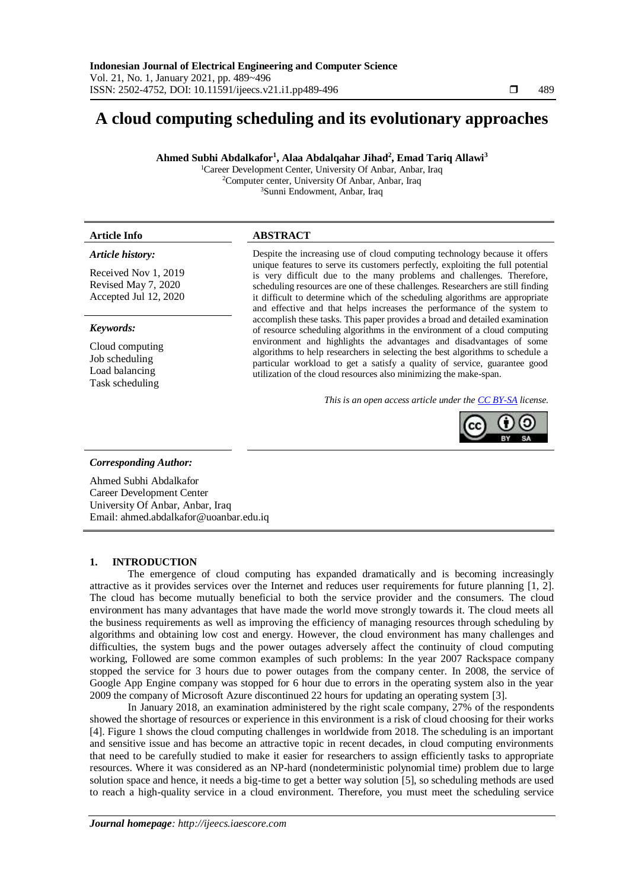# **A cloud computing scheduling and its evolutionary approaches**

**Ahmed Subhi Abdalkafor<sup>1</sup> , Alaa Abdalqahar Jihad<sup>2</sup> , Emad Tariq Allawi<sup>3</sup>**

<sup>1</sup>Career Development Center, University Of Anbar, Anbar, Iraq <sup>2</sup>Computer center, University Of Anbar, Anbar, Iraq <sup>3</sup>Sunni Endowment, Anbar, Iraq

# *Article history:*

Received Nov 1, 2019 Revised May 7, 2020 Accepted Jul 12, 2020

# *Keywords:*

Cloud computing Job scheduling Load balancing Task scheduling

# **Article Info ABSTRACT**

Despite the increasing use of cloud computing technology because it offers unique features to serve its customers perfectly, exploiting the full potential is very difficult due to the many problems and challenges. Therefore, scheduling resources are one of these challenges. Researchers are still finding it difficult to determine which of the scheduling algorithms are appropriate and effective and that helps increases the performance of the system to accomplish these tasks. This paper provides a broad and detailed examination of resource scheduling algorithms in the environment of a cloud computing environment and highlights the advantages and disadvantages of some algorithms to help researchers in selecting the best algorithms to schedule a particular workload to get a satisfy a quality of service, guarantee good utilization of the cloud resources also minimizing the make-span.

*This is an open access article under the [CC BY-SA](https://creativecommons.org/licenses/by-sa/4.0/) license.*



# *Corresponding Author:*

Ahmed Subhi Abdalkafor Career Development Center University Of Anbar, Anbar, Iraq Email: ahmed.abdalkafor@uoanbar.edu.iq

# **1. INTRODUCTION**

The emergence of cloud computing has expanded dramatically and is becoming increasingly attractive as it provides services over the Internet and reduces user requirements for future planning [1, 2]. The cloud has become mutually beneficial to both the service provider and the consumers. The cloud environment has many advantages that have made the world move strongly towards it. The cloud meets all the business requirements as well as improving the efficiency of managing resources through scheduling by algorithms and obtaining low cost and energy. However, the cloud environment has many challenges and difficulties, the system bugs and the power outages adversely affect the continuity of cloud computing working, Followed are some common examples of such problems: In the year 2007 Rackspace company stopped the service for 3 hours due to power outages from the company center. In 2008, the service of Google App Engine company was stopped for 6 hour due to errors in the operating system also in the year 2009 the company of Microsoft Azure discontinued 22 hours for updating an operating system [3].

In January 2018, an examination administered by the right scale company, 27% of the respondents showed the shortage of resources or experience in this environment is a risk of cloud choosing for their works [4]. Figure 1 shows the cloud computing challenges in worldwide from 2018. The scheduling is an important and sensitive issue and has become an attractive topic in recent decades, in cloud computing environments that need to be carefully studied to make it easier for researchers to assign efficiently tasks to appropriate resources. Where it was considered as an NP-hard (nondeterministic polynomial time) problem due to large solution space and hence, it needs a big-time to get a better way solution [5], so scheduling methods are used to reach a high-quality service in a cloud environment. Therefore, you must meet the scheduling service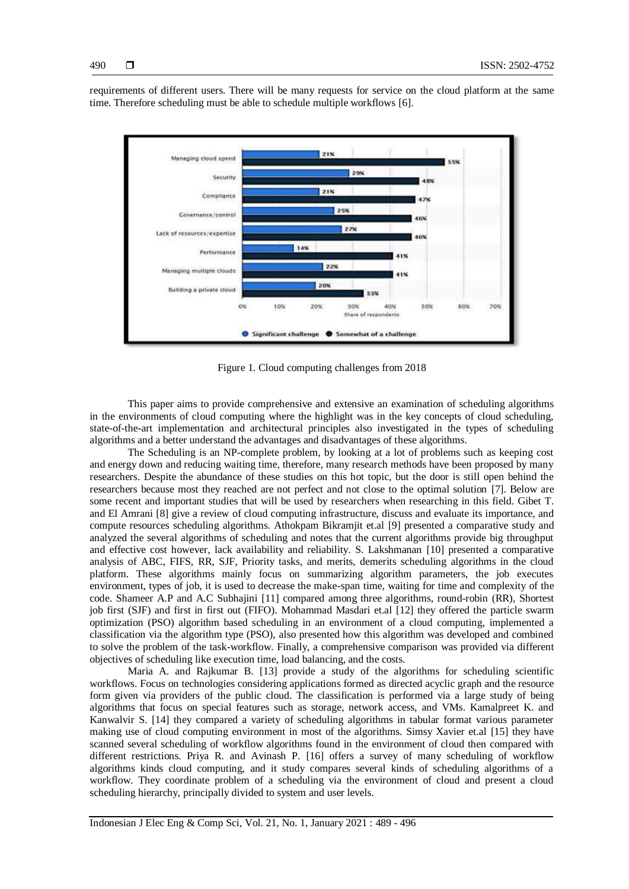requirements of different users. There will be many requests for service on the cloud platform at the same time. Therefore scheduling must be able to schedule multiple workflows [6].



Figure 1. Cloud computing challenges from 2018

This paper aims to provide comprehensive and extensive an examination of scheduling algorithms in the environments of cloud computing where the highlight was in the key concepts of cloud scheduling, state-of-the-art implementation and architectural principles also investigated in the types of scheduling algorithms and a better understand the advantages and disadvantages of these algorithms.

The Scheduling is an NP-complete problem, by looking at a lot of problems such as keeping cost and energy down and reducing waiting time, therefore, many research methods have been proposed by many researchers. Despite the abundance of these studies on this hot topic, but the door is still open behind the researchers because most they reached are not perfect and not close to the optimal solution [7]. Below are some recent and important studies that will be used by researchers when researching in this field. Gibet T. and El Amrani [8] give a review of cloud computing infrastructure, discuss and evaluate its importance, and compute resources scheduling algorithms. Athokpam Bikramjit et.al [9] presented a comparative study and analyzed the several algorithms of scheduling and notes that the current algorithms provide big throughput and effective cost however, lack availability and reliability. S. Lakshmanan [10] presented a comparative analysis of ABC, FIFS, RR, SJF, Priority tasks, and merits, demerits scheduling algorithms in the cloud platform. These algorithms mainly focus on summarizing algorithm parameters, the job executes environment, types of job, it is used to decrease the make-span time, waiting for time and complexity of the code. Shameer A.P and A.C Subhajini [11] compared among three algorithms, round-robin (RR), Shortest job first (SJF) and first in first out (FIFO). Mohammad Masdari et.al [12] they offered the particle swarm optimization (PSO) algorithm based scheduling in an environment of a cloud computing, implemented a classification via the algorithm type (PSO), also presented how this algorithm was developed and combined to solve the problem of the task-workflow. Finally, a comprehensive comparison was provided via different objectives of scheduling like execution time, load balancing, and the costs.

Maria A. and Rajkumar B. [13] provide a study of the algorithms for scheduling scientific workflows. Focus on technologies considering applications formed as directed acyclic graph and the resource form given via providers of the public cloud. The classification is performed via a large study of being algorithms that focus on special features such as storage, network access, and VMs. Kamalpreet K. and Kanwalvir S. [14] they compared a variety of scheduling algorithms in tabular format various parameter making use of cloud computing environment in most of the algorithms. Simsy Xavier et.al [15] they have scanned several scheduling of workflow algorithms found in the environment of cloud then compared with different restrictions. Priya R. and Avinash P. [16] offers a survey of many scheduling of workflow algorithms kinds cloud computing, and it study compares several kinds of scheduling algorithms of a workflow. They coordinate problem of a scheduling via the environment of cloud and present a cloud scheduling hierarchy, principally divided to system and user levels.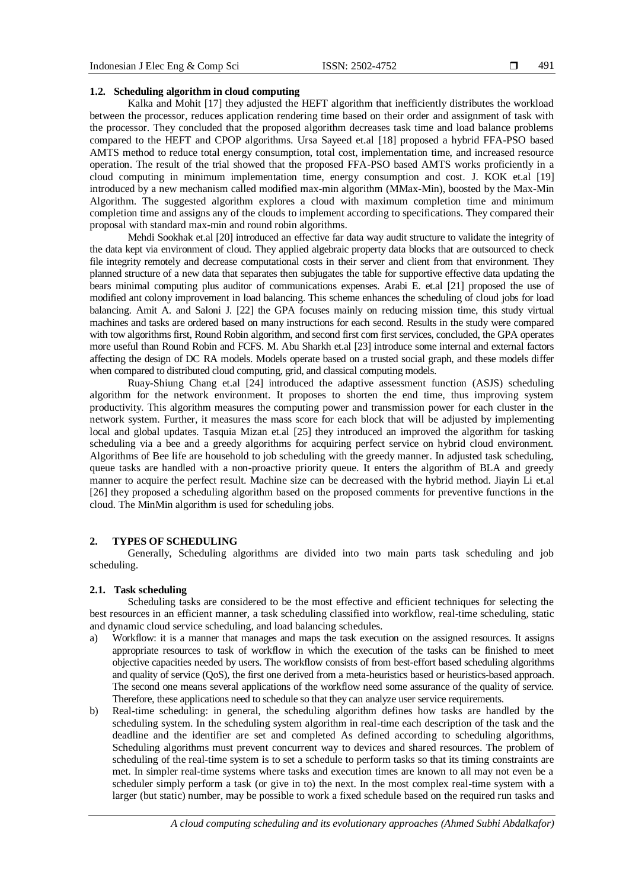#### **1.2. Scheduling algorithm in cloud computing**

Kalka and Mohit [17] they adjusted the HEFT algorithm that inefficiently distributes the workload between the processor, reduces application rendering time based on their order and assignment of task with the processor. They concluded that the proposed algorithm decreases task time and load balance problems compared to the HEFT and CPOP algorithms. Ursa Sayeed et.al [18] proposed a hybrid FFA-PSO based AMTS method to reduce total energy consumption, total cost, implementation time, and increased resource operation. The result of the trial showed that the proposed FFA-PSO based AMTS works proficiently in a cloud computing in minimum implementation time, energy consumption and cost. J. KOK et.al [19] introduced by a new mechanism called modified max-min algorithm (MMax-Min), boosted by the Max-Min Algorithm. The suggested algorithm explores a cloud with maximum completion time and minimum completion time and assigns any of the clouds to implement according to specifications. They compared their proposal with standard max-min and round robin algorithms.

Mehdi Sookhak et.al [20] introduced an effective far data way audit structure to validate the integrity of the data kept via environment of cloud. They applied algebraic property data blocks that are outsourced to check file integrity remotely and decrease computational costs in their server and client from that environment. They planned structure of a new data that separates then subjugates the table for supportive effective data updating the bears minimal computing plus auditor of communications expenses. Arabi E. et.al [21] proposed the use of modified ant colony improvement in load balancing. This scheme enhances the scheduling of cloud jobs for load balancing. Amit A. and Saloni J. [22] the GPA focuses mainly on reducing mission time, this study virtual machines and tasks are ordered based on many instructions for each second. Results in the study were compared with tow algorithms first, Round Robin algorithm, and second first com first services, concluded, the GPA operates more useful than Round Robin and FCFS. M. Abu Sharkh et.al [23] introduce some internal and external factors affecting the design of DC RA models. Models operate based on a trusted social graph, and these models differ when compared to distributed cloud computing, grid, and classical computing models.

Ruay-Shiung Chang et.al [24] introduced the adaptive assessment function (ASJS) scheduling algorithm for the network environment. It proposes to shorten the end time, thus improving system productivity. This algorithm measures the computing power and transmission power for each cluster in the network system. Further, it measures the mass score for each block that will be adjusted by implementing local and global updates. Tasquia Mizan et.al [25] they introduced an improved the algorithm for tasking scheduling via a bee and a greedy algorithms for acquiring perfect service on hybrid cloud environment. Algorithms of Bee life are household to job scheduling with the greedy manner. In adjusted task scheduling, queue tasks are handled with a non-proactive priority queue. It enters the algorithm of BLA and greedy manner to acquire the perfect result. Machine size can be decreased with the hybrid method. Jiayin Li et.al [26] they proposed a scheduling algorithm based on the proposed comments for preventive functions in the cloud. The MinMin algorithm is used for scheduling jobs.

# **2. TYPES OF SCHEDULING**

Generally, Scheduling algorithms are divided into two main parts task scheduling and job scheduling.

# **2.1. Task scheduling**

Scheduling tasks are considered to be the most effective and efficient techniques for selecting the best resources in an efficient manner, a task scheduling classified into workflow, real-time scheduling, static and dynamic cloud service scheduling, and load balancing schedules.

- a) Workflow: it is a manner that manages and maps the task execution on the assigned resources. It assigns appropriate resources to task of workflow in which the execution of the tasks can be finished to meet objective capacities needed by users. The workflow consists of from best-effort based scheduling algorithms and quality of service (QoS), the first one derived from a meta-heuristics based or heuristics-based approach. The second one means several applications of the workflow need some assurance of the quality of service. Therefore, these applications need to schedule so that they can analyze user service requirements.
- b) Real-time scheduling: in general, the scheduling algorithm defines how tasks are handled by the scheduling system. In the scheduling system algorithm in real-time each description of the task and the deadline and the identifier are set and completed As defined according to scheduling algorithms, Scheduling algorithms must prevent concurrent way to devices and shared resources. The problem of scheduling of the real-time system is to set a schedule to perform tasks so that its timing constraints are met. In simpler real-time systems where tasks and execution times are known to all may not even be a scheduler simply perform a task (or give in to) the next. In the most complex real-time system with a larger (but static) number, may be possible to work a fixed schedule based on the required run tasks and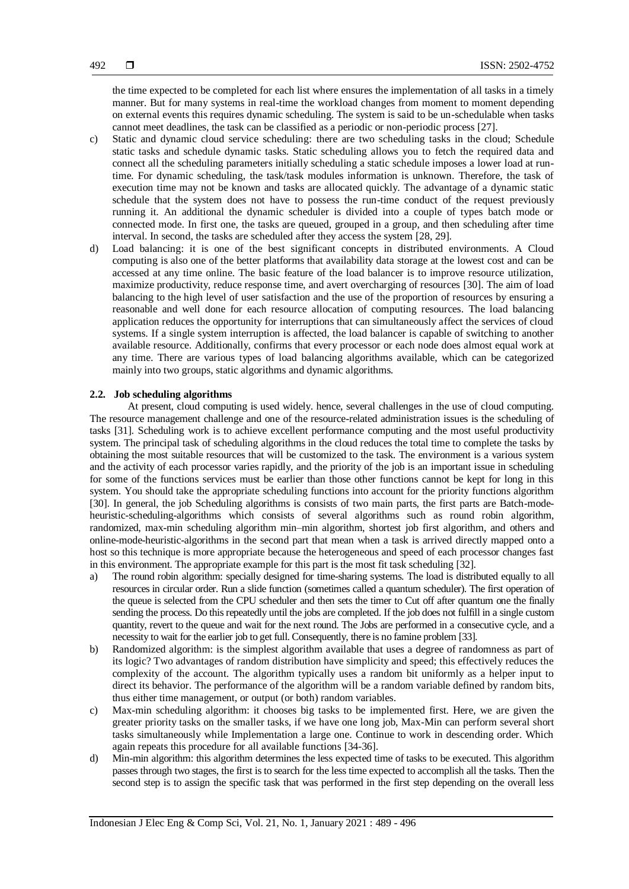the time expected to be completed for each list where ensures the implementation of all tasks in a timely manner. But for many systems in real-time the workload changes from moment to moment depending on external events this requires dynamic scheduling. The system is said to be un-schedulable when tasks cannot meet deadlines, the task can be classified as a periodic or non-periodic process [27].

- c) Static and dynamic cloud service scheduling: there are two scheduling tasks in the cloud; Schedule static tasks and schedule dynamic tasks. Static scheduling allows you to fetch the required data and connect all the scheduling parameters initially scheduling a static schedule imposes a lower load at runtime. For dynamic scheduling, the task/task modules information is unknown. Therefore, the task of execution time may not be known and tasks are allocated quickly. The advantage of a dynamic static schedule that the system does not have to possess the run-time conduct of the request previously running it. An additional the dynamic scheduler is divided into a couple of types batch mode or connected mode. In first one, the tasks are queued, grouped in a group, and then scheduling after time interval. In second, the tasks are scheduled after they access the system [28, 29].
- d) Load balancing: it is one of the best significant concepts in distributed environments. A Cloud computing is also one of the better platforms that availability data storage at the lowest cost and can be accessed at any time online. The basic feature of the load balancer is to improve resource utilization, maximize productivity, reduce response time, and avert overcharging of resources [30]. The aim of load balancing to the high level of user satisfaction and the use of the proportion of resources by ensuring a reasonable and well done for each resource allocation of computing resources. The load balancing application reduces the opportunity for interruptions that can simultaneously affect the services of cloud systems. If a single system interruption is affected, the load balancer is capable of switching to another available resource. Additionally, confirms that every processor or each node does almost equal work at any time. There are various types of load balancing algorithms available, which can be categorized mainly into two groups, static algorithms and dynamic algorithms.

# **2.2. Job scheduling algorithms**

At present, cloud computing is used widely. hence, several challenges in the use of cloud computing. The resource management challenge and one of the resource-related administration issues is the scheduling of tasks [31]. Scheduling work is to achieve excellent performance computing and the most useful productivity system. The principal task of scheduling algorithms in the cloud reduces the total time to complete the tasks by obtaining the most suitable resources that will be customized to the task. The environment is a various system and the activity of each processor varies rapidly, and the priority of the job is an important issue in scheduling for some of the functions services must be earlier than those other functions cannot be kept for long in this system. You should take the appropriate scheduling functions into account for the priority functions algorithm [30]. In general, the job Scheduling algorithms is consists of two main parts, the first parts are Batch-modeheuristic-scheduling-algorithms which consists of several algorithms such as round robin algorithm, randomized, max-min scheduling algorithm min–min algorithm, shortest job first algorithm, and others and online-mode-heuristic-algorithms in the second part that mean when a task is arrived directly mapped onto a host so this technique is more appropriate because the heterogeneous and speed of each processor changes fast in this environment. The appropriate example for this part is the most fit task scheduling [32].

- a) The round robin algorithm: specially designed for time-sharing systems. The load is distributed equally to all resources in circular order. Run a slide function (sometimes called a quantum scheduler). The first operation of the queue is selected from the CPU scheduler and then sets the timer to Cut off after quantum one the finally sending the process. Do this repeatedly until the jobs are completed. If the job does not fulfill in a single custom quantity, revert to the queue and wait for the next round. The Jobs are performed in a consecutive cycle, and a necessity to wait for the earlier job to get full. Consequently, there is no famine problem [33].
- b) Randomized algorithm: is the simplest algorithm available that uses a degree of randomness as part of its logic? Two advantages of random distribution have simplicity and speed; this effectively reduces the complexity of the account. The algorithm typically uses a random bit uniformly as a helper input to direct its behavior. The performance of the algorithm will be a random variable defined by random bits, thus either time management, or output (or both) random variables.
- c) Max-min scheduling algorithm: it chooses big tasks to be implemented first. Here, we are given the greater priority tasks on the smaller tasks, if we have one long job, Max-Min can perform several short tasks simultaneously while Implementation a large one. Continue to work in descending order. Which again repeats this procedure for all available functions [34-36].
- d) Min-min algorithm: this algorithm determines the less expected time of tasks to be executed. This algorithm passes through two stages, the first is to search for the less time expected to accomplish all the tasks. Then the second step is to assign the specific task that was performed in the first step depending on the overall less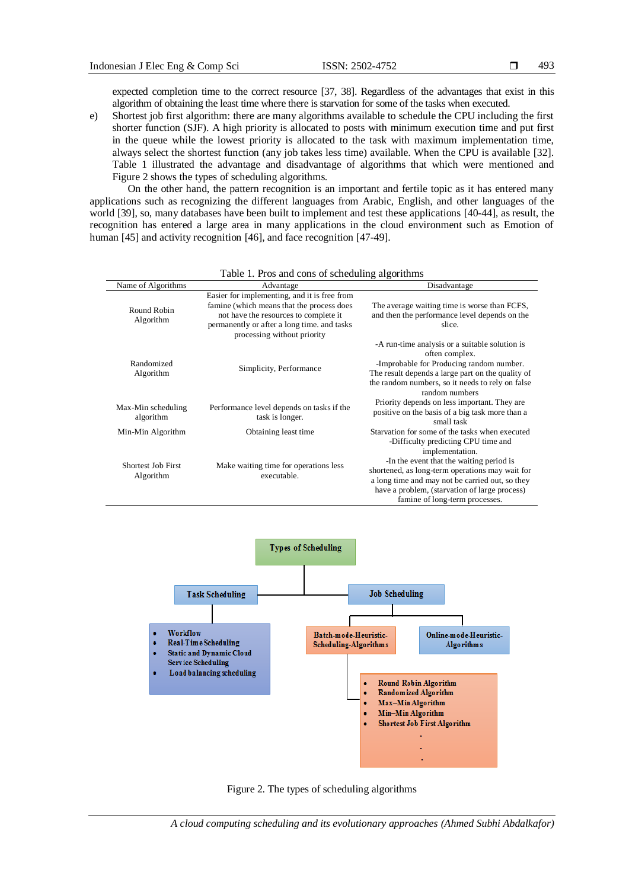expected completion time to the correct resource [37, 38]. Regardless of the advantages that exist in this algorithm of obtaining the least time where there is starvation for some of the tasks when executed.

e) Shortest job first algorithm: there are many algorithms available to schedule the CPU including the first shorter function (SJF). A high priority is allocated to posts with minimum execution time and put first in the queue while the lowest priority is allocated to the task with maximum implementation time, always select the shortest function (any job takes less time) available. When the CPU is available [32]. Table 1 illustrated the advantage and disadvantage of algorithms that which were mentioned and Figure 2 shows the types of scheduling algorithms.

On the other hand, the pattern recognition is an important and fertile topic as it has entered many applications such as recognizing the different languages from Arabic, English, and other languages of the world [39], so, many databases have been built to implement and test these applications [40-44], as result, the recognition has entered a large area in many applications in the cloud environment such as Emotion of human [45] and activity recognition [46], and face recognition [47-49].

| T able 1. Fros and cons of scheduling arguments |                                                                                                                                                                                                                  |                                                                                                                                                                                                                                         |
|-------------------------------------------------|------------------------------------------------------------------------------------------------------------------------------------------------------------------------------------------------------------------|-----------------------------------------------------------------------------------------------------------------------------------------------------------------------------------------------------------------------------------------|
| Name of Algorithms                              | Advantage                                                                                                                                                                                                        | Disadvantage                                                                                                                                                                                                                            |
| Round Robin<br>Algorithm                        | Easier for implementing, and it is free from<br>famine (which means that the process does<br>not have the resources to complete it<br>permanently or after a long time, and tasks<br>processing without priority | The average waiting time is worse than FCFS,<br>and then the performance level depends on the<br>slice.                                                                                                                                 |
| Randomized<br>Algorithm                         | Simplicity, Performance                                                                                                                                                                                          | -A run-time analysis or a suitable solution is<br>often complex.<br>-Improbable for Producing random number.<br>The result depends a large part on the quality of<br>the random numbers, so it needs to rely on false<br>random numbers |
| Max-Min scheduling<br>algorithm                 | Performance level depends on tasks if the<br>task is longer.                                                                                                                                                     | Priority depends on less important. They are<br>positive on the basis of a big task more than a<br>small task                                                                                                                           |
| Min-Min Algorithm                               | Obtaining least time                                                                                                                                                                                             | Starvation for some of the tasks when executed<br>-Difficulty predicting CPU time and<br>implementation.                                                                                                                                |
| <b>Shortest Job First</b><br>Algorithm          | Make waiting time for operations less<br>executable.                                                                                                                                                             | -In the event that the waiting period is<br>shortened, as long-term operations may wait for<br>a long time and may not be carried out, so they<br>have a problem, (starvation of large process)<br>famine of long-term processes.       |

# Table 1. Pros and cons of scheduling algorithms



Figure 2. The types of scheduling algorithms

*A cloud computing scheduling and its evolutionary approaches (Ahmed Subhi Abdalkafor)*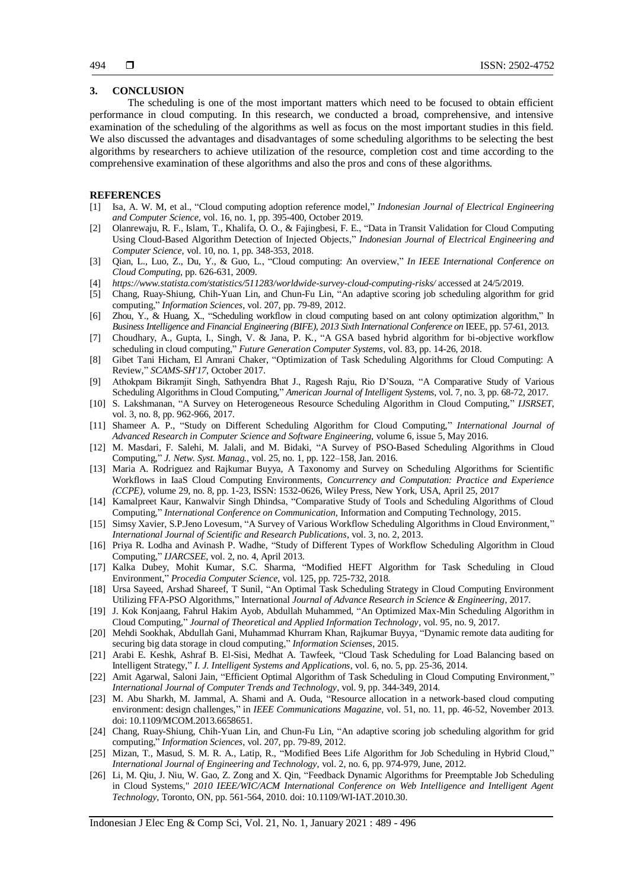# **3. CONCLUSION**

The scheduling is one of the most important matters which need to be focused to obtain efficient performance in cloud computing. In this research, we conducted a broad, comprehensive, and intensive examination of the scheduling of the algorithms as well as focus on the most important studies in this field. We also discussed the advantages and disadvantages of some scheduling algorithms to be selecting the best algorithms by researchers to achieve utilization of the resource, completion cost and time according to the comprehensive examination of these algorithms and also the pros and cons of these algorithms.

# **REFERENCES**

- [1] Isa, A. W. M, et al., "Cloud computing adoption reference model," *Indonesian Journal of Electrical Engineering and Computer Science*, vol. 16, no. 1, pp. 395-400, October 2019.
- [2] Olanrewaju, R. F., Islam, T., Khalifa, O. O., & Fajingbesi, F. E., "Data in Transit Validation for Cloud Computing Using Cloud-Based Algorithm Detection of Injected Objects," *Indonesian Journal of Electrical Engineering and Computer Science*, vol. 10, no. 1, pp. 348-353, 2018.
- [3] Qian, L., Luo, Z., Du, Y., & Guo, L., "Cloud computing: An overview," *In IEEE International Conference on Cloud Computing,* pp. 626-631, 2009.
- [4] *https://www.statista.com/statistics/511283/worldwide-survey-cloud-computing-risks/* accessed at 24/5/2019.
- [5] Chang, Ruay-Shiung, Chih-Yuan Lin, and Chun-Fu Lin, "An adaptive scoring job scheduling algorithm for grid computing," *Information Sciences*, vol. 207, pp. 79-89, 2012.
- [6] Zhou, Y., & Huang, X., "Scheduling workflow in cloud computing based on ant colony optimization algorithm," In *Business Intelligence and Financial Engineering (BIFE)*, *2013 Sixth International Conference on* IEEE, pp. 57-61, 2013.
- [7] Choudhary, A., Gupta, I., Singh, V. & Jana, P. K., "A GSA based hybrid algorithm for bi-objective workflow scheduling in cloud computing," *Future Generation Computer Systems*, vol. 83, pp. 14-26, 2018.
- [8] Gibet Tani Hicham, El Amrani Chaker, "Optimization of Task Scheduling Algorithms for Cloud Computing: A Review," *SCAMS-SH'17*, October 2017.
- [9] Athokpam Bikramjit Singh, Sathyendra Bhat J., Ragesh Raju, Rio D'Souza, "A Comparative Study of Various Scheduling Algorithms in Cloud Computing," *American Journal of Intelligent Systems*, vol. 7, no. 3, pp. 68-72, 2017.
- [10] S. Lakshmanan, "A Survey on Heterogeneous Resource Scheduling Algorithm in Cloud Computing," *IJSRSET*, vol. 3, no. 8, pp. 962-966, 2017.
- [11] Shameer A. P., "Study on Different Scheduling Algorithm for Cloud Computing," *International Journal of Advanced Research in Computer Science and Software Engineering*, volume 6, issue 5, May 2016.
- [12] M. Masdari, F. Salehi, M. Jalali, and M. Bidaki, "A Survey of PSO-Based Scheduling Algorithms in Cloud Computing," *J. Netw. Syst. Manag.*, vol. 25, no. 1, pp. 122–158, Jan. 2016.
- [13] Maria A. Rodriguez and Rajkumar Buyya, A Taxonomy and Survey on Scheduling Algorithms for Scientific Workflows in IaaS Cloud Computing Environments, *Concurrency and Computation: Practice and Experience (CCPE)*, volume 29, no. 8, pp. 1-23, ISSN: 1532-0626, Wiley Press, New York, USA, April 25, 2017
- [14] Kamalpreet Kaur, Kanwalvir Singh Dhindsa, "Comparative Study of Tools and Scheduling Algorithms of Cloud Computing," *International Conference on Communication*, Information and Computing Technology, 2015.
- [15] Simsy Xavier, S.P.Jeno Lovesum, "A Survey of Various Workflow Scheduling Algorithms in Cloud Environment," *International Journal of Scientific and Research Publications*, vol. 3, no. 2, 2013.
- [16] Priya R. Lodha and Avinash P. Wadhe, "Study of Different Types of Workflow Scheduling Algorithm in Cloud Computing," *IJARCSEE*, vol. 2, no. 4, April 2013.
- [17] Kalka Dubey, Mohit Kumar, S.C. Sharma, "Modified HEFT Algorithm for Task Scheduling in Cloud Environment," *Procedia Computer Science*, vol. 125, pp. 725-732, 2018.
- [18] Ursa Sayeed, Arshad Shareef, T Sunil, "An Optimal Task Scheduling Strategy in Cloud Computing Environment Utilizing FFA-PSO Algorithms," International *Journal of Advance Research in Science & Engineering*, 2017.
- [19] J. Kok Konjaang, Fahrul Hakim Ayob, Abdullah Muhammed, "An Optimized Max-Min Scheduling Algorithm in Cloud Computing," *Journal of Theoretical and Applied Information Technology*, vol. 95, no. 9, 2017.
- [20] Mehdi Sookhak, Abdullah Gani, Muhammad Khurram Khan, Rajkumar Buyya, "Dynamic remote data auditing for securing big data storage in cloud computing," *Information Scienses*, 2015.
- [21] Arabi E. Keshk, Ashraf B. El-Sisi, Medhat A. Tawfeek, "Cloud Task Scheduling for Load Balancing based on Intelligent Strategy," *I. J. Intelligent Systems and Applications*, vol. 6, no. 5, pp. 25-36, 2014.
- [22] Amit Agarwal, Saloni Jain, "Efficient Optimal Algorithm of Task Scheduling in Cloud Computing Environment," *International Journal of Computer Trends and Technology*, vol. 9, pp. 344-349, 2014.
- [23] M. Abu Sharkh, M. Jammal, A. Shami and A. Ouda, "Resource allocation in a network-based cloud computing environment: design challenges," in *IEEE Communications Magazine*, vol. 51, no. 11, pp. 46-52, November 2013. doi: 10.1109/MCOM.2013.6658651.
- [24] Chang, Ruay-Shiung, Chih-Yuan Lin, and Chun-Fu Lin, "An adaptive scoring job scheduling algorithm for grid computing," *Information Sciences*, vol. 207, pp. 79-89, 2012.
- [25] Mizan, T., Masud, S. M. R. A., Latip, R., "Modified Bees Life Algorithm for Job Scheduling in Hybrid Cloud," *International Journal of Engineering and Technology*, vol. 2, no. 6, pp. 974-979, June, 2012.
- [26] Li, M. Qiu, J. Niu, W. Gao, Z. Zong and X. Qin, "Feedback Dynamic Algorithms for Preemptable Job Scheduling in Cloud Systems," *2010 IEEE/WIC/ACM International Conference on Web Intelligence and Intelligent Agent Technology*, Toronto, ON, pp. 561-564, 2010. doi: 10.1109/WI-IAT.2010.30.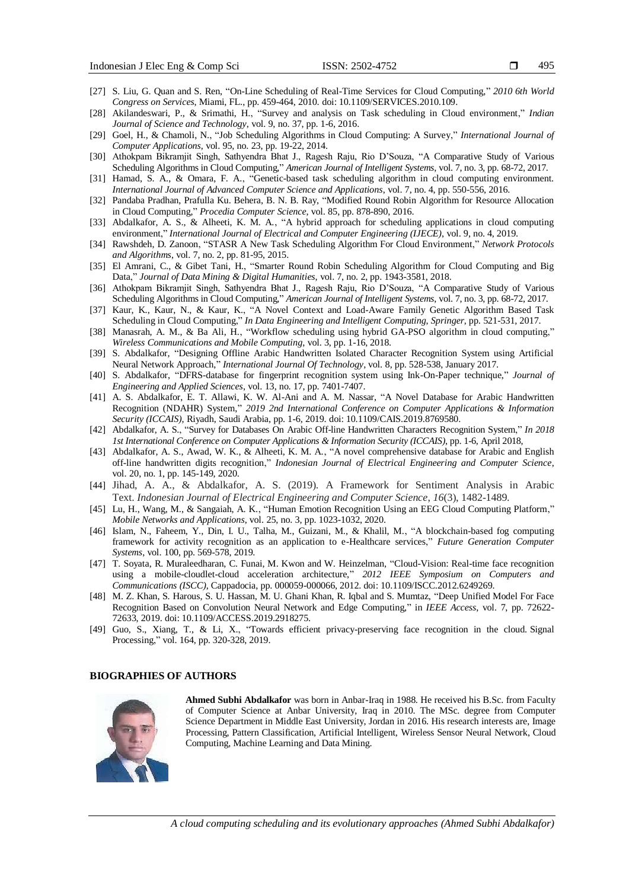- [27] S. Liu, G. Quan and S. Ren, "On-Line Scheduling of Real-Time Services for Cloud Computing," *2010 6th World Congress on Services*, Miami, FL., pp. 459-464, 2010. doi: 10.1109/SERVICES.2010.109.
- [28] Akilandeswari, P., & Srimathi, H., "Survey and analysis on Task scheduling in Cloud environment," *Indian Journal of Science and Technology*, vol. 9, no. 37, pp. 1-6, 2016.
- [29] Goel, H., & Chamoli, N., "Job Scheduling Algorithms in Cloud Computing: A Survey," *International Journal of Computer Applications*, vol. 95, no. 23, pp. 19-22, 2014.
- [30] Athokpam Bikramjit Singh, Sathyendra Bhat J., Ragesh Raju, Rio D'Souza, "A Comparative Study of Various Scheduling Algorithms in Cloud Computing," *American Journal of Intelligent Systems*, vol. 7, no. 3, pp. 68-72, 2017.
- [31] Hamad, S. A., & Omara, F. A., "Genetic-based task scheduling algorithm in cloud computing environment. *International Journal of Advanced Computer Science and Applications*, vol. 7, no. 4, pp. 550-556, 2016.
- [32] Pandaba Pradhan, Prafulla Ku. Behera, B. N. B. Ray, "Modified Round Robin Algorithm for Resource Allocation in Cloud Computing," *Procedia Computer Science*, vol. 85, pp. 878-890, 2016.
- [33] Abdalkafor, A. S., & Alheeti, K. M. A., "A hybrid approach for scheduling applications in cloud computing environment," *International Journal of Electrical and Computer Engineering (IJECE)*, vol. 9, no. 4, 2019.
- [34] Rawshdeh, D. Zanoon, "STASR A New Task Scheduling Algorithm For Cloud Environment," *Network Protocols and Algorithms*, vol. 7, no. 2, pp. 81-95, 2015.
- [35] El Amrani, C., & Gibet Tani, H., "Smarter Round Robin Scheduling Algorithm for Cloud Computing and Big Data," *Journal of Data Mining & Digital Humanities*, vol. 7, no. 2, pp. 1943-3581, 2018.
- [36] Athokpam Bikramjit Singh, Sathyendra Bhat J., Ragesh Raju, Rio D'Souza, "A Comparative Study of Various Scheduling Algorithms in Cloud Computing," *American Journal of Intelligent Systems*, vol. 7, no. 3, pp. 68-72, 2017.
- [37] Kaur, K., Kaur, N., & Kaur, K., "A Novel Context and Load-Aware Family Genetic Algorithm Based Task Scheduling in Cloud Computing," *In Data Engineering and Intelligent Computing*, *Springer*, pp. 521-531*,* 2017.
- [38] Manasrah, A. M., & Ba Ali, H., "Workflow scheduling using hybrid GA-PSO algorithm in cloud computing," *Wireless Communications and Mobile Computing*, vol. 3, pp. 1-16, 2018.
- [39] S. Abdalkafor, "Designing Offline Arabic Handwritten Isolated Character Recognition System using Artificial Neural Network Approach," *International Journal Of Technology*, vol. 8, pp. 528-538, January 2017.
- [40] S. Abdalkafor, "DFRS-database for fingerprint recognition system using Ink-On-Paper technique," *Journal of Engineering and Applied Sciences*, vol. 13, no. 17, pp. 7401-7407.
- [41] A. S. Abdalkafor, E. T. Allawi, K. W. Al-Ani and A. M. Nassar, "A Novel Database for Arabic Handwritten Recognition (NDAHR) System," *2019 2nd International Conference on Computer Applications & Information Security (ICCAIS)*, Riyadh, Saudi Arabia, pp. 1-6, 2019. doi: 10.1109/CAIS.2019.8769580.
- [42] Abdalkafor, A. S., "Survey for Databases On Arabic Off-line Handwritten Characters Recognition System," *In 2018 1st International Conference on Computer Applications & Information Security (ICCAIS)*, pp. 1-6, April 2018,
- [43] Abdalkafor, A. S., Awad, W. K., & Alheeti, K. M. A., "A novel comprehensive database for Arabic and English off-line handwritten digits recognition," *Indonesian Journal of Electrical Engineering and Computer Science*, vol. 20, no. 1, pp. 145-149, 2020.
- [44] Jihad, A. A., & Abdalkafor, A. S. (2019). A Framework for Sentiment Analysis in Arabic Text. *Indonesian Journal of Electrical Engineering and Computer Science*, *16*(3), 1482-1489.
- [45] Lu, H., Wang, M., & Sangaiah, A. K., "Human Emotion Recognition Using an EEG Cloud Computing Platform," *Mobile Networks and Applications*, vol. 25, no. 3, pp. 1023-1032, 2020.
- [46] Islam, N., Faheem, Y., Din, I. U., Talha, M., Guizani, M., & Khalil, M., "A blockchain-based fog computing framework for activity recognition as an application to e-Healthcare services," *Future Generation Computer Systems*, vol. 100, pp. 569-578, 2019.
- [47] T. Soyata, R. Muraleedharan, C. Funai, M. Kwon and W. Heinzelman, "Cloud-Vision: Real-time face recognition using a mobile-cloudlet-cloud acceleration architecture," *2012 IEEE Symposium on Computers and Communications (ISCC)*, Cappadocia, pp. 000059-000066, 2012. doi: 10.1109/ISCC.2012.6249269.
- [48] M. Z. Khan, S. Harous, S. U. Hassan, M. U. Ghani Khan, R. Iqbal and S. Mumtaz, "Deep Unified Model For Face Recognition Based on Convolution Neural Network and Edge Computing," in *IEEE Access*, vol. 7, pp. 72622- 72633, 2019. doi: 10.1109/ACCESS.2019.2918275.
- [49] Guo, S., Xiang, T., & Li, X., "Towards efficient privacy-preserving face recognition in the cloud. Signal Processing," vol. 164, pp. 320-328, 2019.

# **BIOGRAPHIES OF AUTHORS**



**Ahmed Subhi Abdalkafor** was born in Anbar-Iraq in 1988. He received his B.Sc. from Faculty of Computer Science at Anbar University, Iraq in 2010. The MSc. degree from Computer Science Department in Middle East University, Jordan in 2016. His research interests are, Image Processing, Pattern Classification, Artificial Intelligent, Wireless Sensor Neural Network, Cloud Computing, Machine Learning and Data Mining.